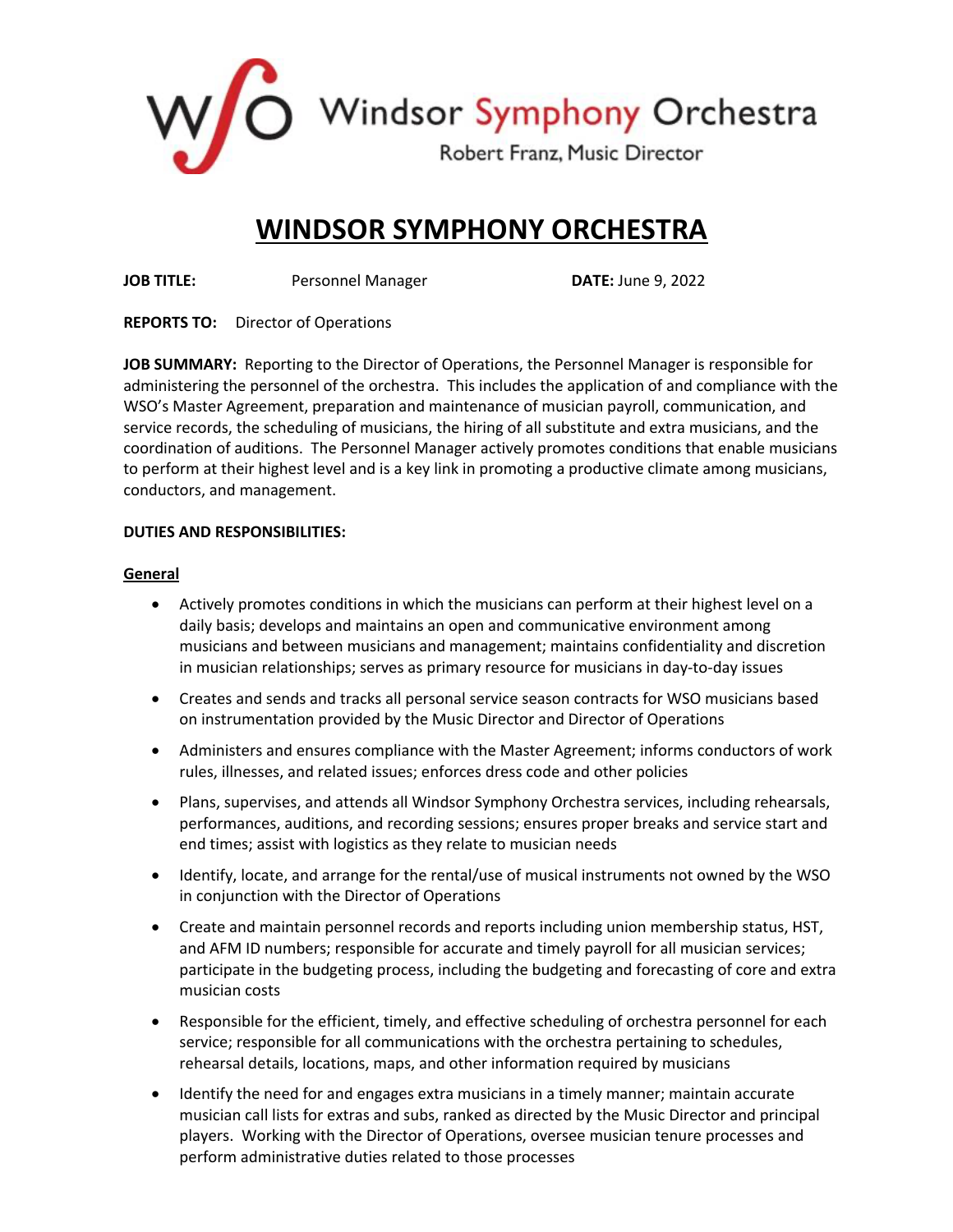

## **WINDSOR SYMPHONY ORCHESTRA**

**JOB TITLE:** Personnel Manager **DATE:** June 9, 2022

**REPORTS TO:** Director of Operations

**JOB SUMMARY:** Reporting to the Director of Operations, the Personnel Manager is responsible for administering the personnel of the orchestra. This includes the application of and compliance with the WSO's Master Agreement, preparation and maintenance of musician payroll, communication, and service records, the scheduling of musicians, the hiring of all substitute and extra musicians, and the coordination of auditions. The Personnel Manager actively promotes conditions that enable musicians to perform at their highest level and is a key link in promoting a productive climate among musicians, conductors, and management.

## **DUTIES AND RESPONSIBILITIES:**

## **General**

- Actively promotes conditions in which the musicians can perform at their highest level on a daily basis; develops and maintains an open and communicative environment among musicians and between musicians and management; maintains confidentiality and discretion in musician relationships; serves as primary resource for musicians in day-to-day issues
- Creates and sends and tracks all personal service season contracts for WSO musicians based on instrumentation provided by the Music Director and Director of Operations
- Administers and ensures compliance with the Master Agreement; informs conductors of work rules, illnesses, and related issues; enforces dress code and other policies
- Plans, supervises, and attends all Windsor Symphony Orchestra services, including rehearsals, performances, auditions, and recording sessions; ensures proper breaks and service start and end times; assist with logistics as they relate to musician needs
- Identify, locate, and arrange for the rental/use of musical instruments not owned by the WSO in conjunction with the Director of Operations
- Create and maintain personnel records and reports including union membership status, HST, and AFM ID numbers; responsible for accurate and timely payroll for all musician services; participate in the budgeting process, including the budgeting and forecasting of core and extra musician costs
- Responsible for the efficient, timely, and effective scheduling of orchestra personnel for each service; responsible for all communications with the orchestra pertaining to schedules, rehearsal details, locations, maps, and other information required by musicians
- Identify the need for and engages extra musicians in a timely manner; maintain accurate musician call lists for extras and subs, ranked as directed by the Music Director and principal players. Working with the Director of Operations, oversee musician tenure processes and perform administrative duties related to those processes